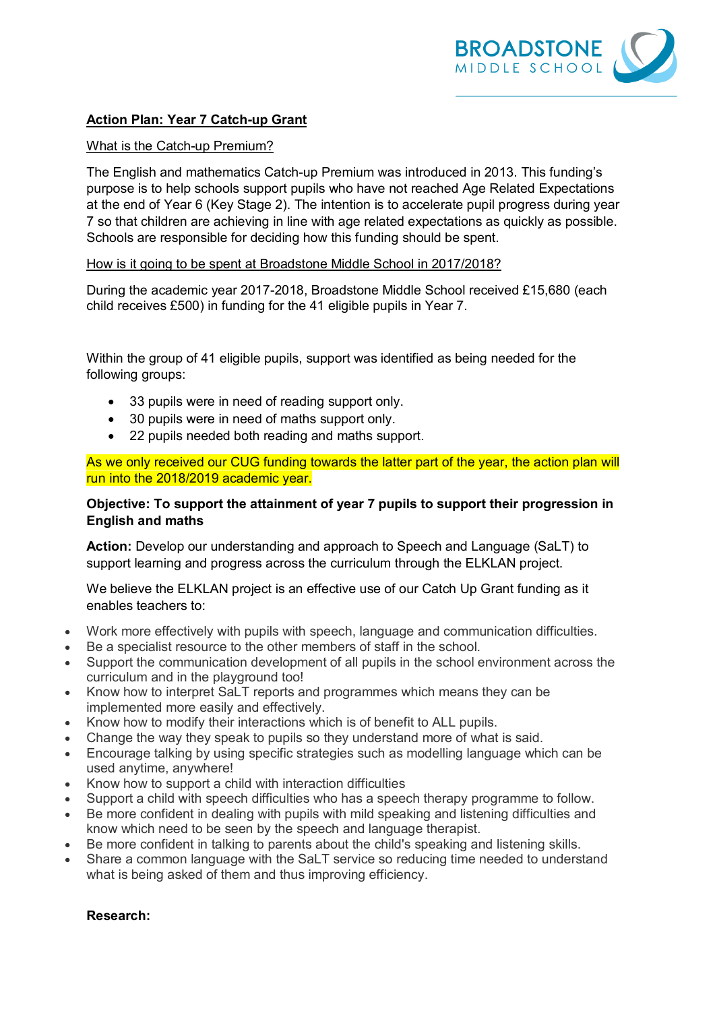

# **Action Plan: Year 7 Catch-up Grant**

### What is the Catch-up Premium?

The English and mathematics Catch-up Premium was introduced in 2013. This funding's purpose is to help schools support pupils who have not reached Age Related Expectations at the end of Year 6 (Key Stage 2). The intention is to accelerate pupil progress during year 7 so that children are achieving in line with age related expectations as quickly as possible. Schools are responsible for deciding how this funding should be spent.

## How is it going to be spent at Broadstone Middle School in 2017/2018?

During the academic year 2017-2018, Broadstone Middle School received £15,680 (each child receives £500) in funding for the 41 eligible pupils in Year 7.

Within the group of 41 eligible pupils, support was identified as being needed for the following groups:

- 33 pupils were in need of reading support only.
- 30 pupils were in need of maths support only.
- 22 pupils needed both reading and maths support.

As we only received our CUG funding towards the latter part of the year, the action plan will run into the 2018/2019 academic year.

## **Objective: To support the attainment of year 7 pupils to support their progression in English and maths**

**Action:** Develop our understanding and approach to Speech and Language (SaLT) to support learning and progress across the curriculum through the ELKLAN project.

We believe the ELKLAN project is an effective use of our Catch Up Grant funding as it enables teachers to:

- Work more effectively with pupils with speech, language and communication difficulties.
- Be a specialist resource to the other members of staff in the school.
- Support the communication development of all pupils in the school environment across the curriculum and in the playground too!
- Know how to interpret SaLT reports and programmes which means they can be implemented more easily and effectively.
- Know how to modify their interactions which is of benefit to ALL pupils.
- Change the way they speak to pupils so they understand more of what is said.
- Encourage talking by using specific strategies such as modelling language which can be used anytime, anywhere!
- Know how to support a child with interaction difficulties
- Support a child with speech difficulties who has a speech therapy programme to follow.
- Be more confident in dealing with pupils with mild speaking and listening difficulties and know which need to be seen by the speech and language therapist.
- Be more confident in talking to parents about the child's speaking and listening skills.
- Share a common language with the SaLT service so reducing time needed to understand what is being asked of them and thus improving efficiency.

## **Research:**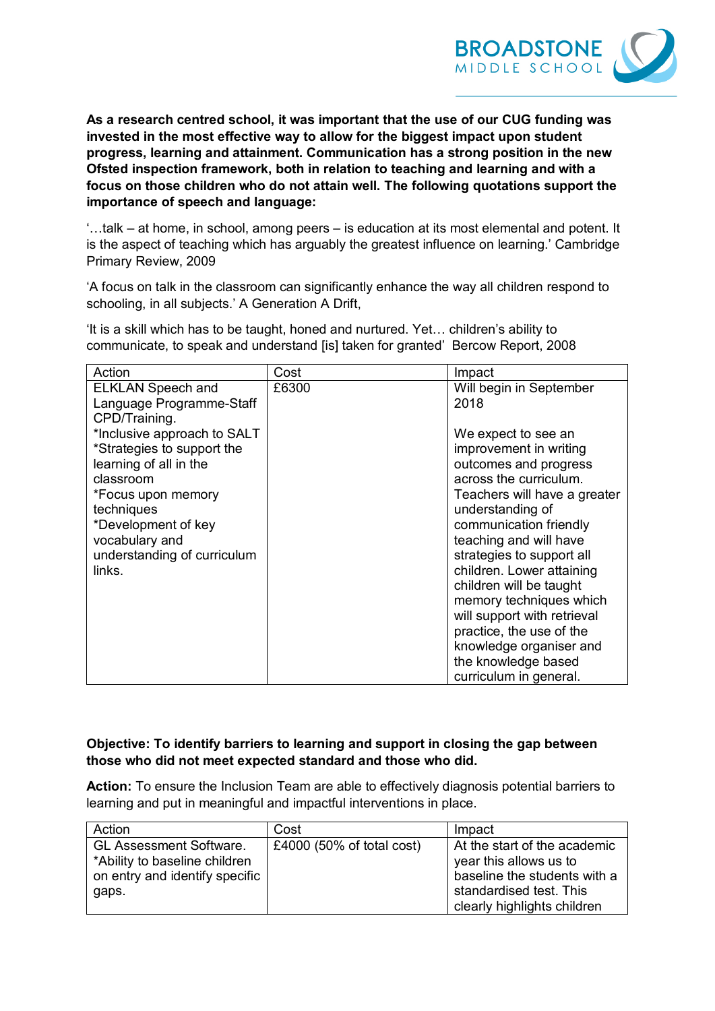

**As a research centred school, it was important that the use of our CUG funding was invested in the most effective way to allow for the biggest impact upon student progress, learning and attainment. Communication has a strong position in the new Ofsted inspection framework, both in relation to teaching and learning and with a focus on those children who do not attain well. The following quotations support the importance of speech and language:**

'…talk – at home, in school, among peers – is education at its most elemental and potent. It is the aspect of teaching which has arguably the greatest influence on learning.' Cambridge Primary Review, 2009

'A focus on talk in the classroom can significantly enhance the way all children respond to schooling, in all subjects.' A Generation A Drift,

'It is a skill which has to be taught, honed and nurtured. Yet… children's ability to communicate, to speak and understand [is] taken for granted' Bercow Report, 2008

| Action                                                                                                                                                                                                                 | Cost  | Impact                                                                                                                                                                                                                                                                                                                                                                                                                                                          |
|------------------------------------------------------------------------------------------------------------------------------------------------------------------------------------------------------------------------|-------|-----------------------------------------------------------------------------------------------------------------------------------------------------------------------------------------------------------------------------------------------------------------------------------------------------------------------------------------------------------------------------------------------------------------------------------------------------------------|
| <b>ELKLAN Speech and</b><br>Language Programme-Staff<br>CPD/Training.                                                                                                                                                  | £6300 | Will begin in September<br>2018                                                                                                                                                                                                                                                                                                                                                                                                                                 |
| *Inclusive approach to SALT<br>*Strategies to support the<br>learning of all in the<br>classroom<br>*Focus upon memory<br>techniques<br>*Development of key<br>vocabulary and<br>understanding of curriculum<br>links. |       | We expect to see an<br>improvement in writing<br>outcomes and progress<br>across the curriculum.<br>Teachers will have a greater<br>understanding of<br>communication friendly<br>teaching and will have<br>strategies to support all<br>children. Lower attaining<br>children will be taught<br>memory techniques which<br>will support with retrieval<br>practice, the use of the<br>knowledge organiser and<br>the knowledge based<br>curriculum in general. |

## **Objective: To identify barriers to learning and support in closing the gap between those who did not meet expected standard and those who did.**

**Action:** To ensure the Inclusion Team are able to effectively diagnosis potential barriers to learning and put in meaningful and impactful interventions in place.

| Action                         | Cost                      | Impact                       |
|--------------------------------|---------------------------|------------------------------|
| <b>GL Assessment Software.</b> | £4000 (50% of total cost) | At the start of the academic |
| *Ability to baseline children  |                           | year this allows us to       |
| on entry and identify specific |                           | baseline the students with a |
| gaps.                          |                           | standardised test. This      |
|                                |                           | clearly highlights children  |